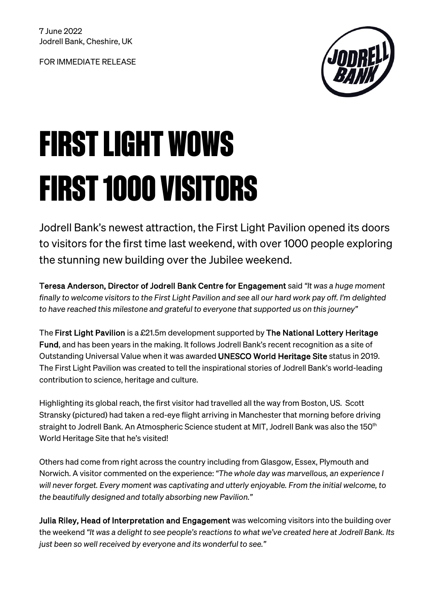FOR IMMEDIATE RELEASE



# FIRST LIGHT WOWS FIRST 1000 VISITORS

Jodrell Bank's newest attraction, the First Light Pavilion opened its doors to visitors for the first time last weekend, with over 1000 people exploring the stunning new building over the Jubilee weekend.

Teresa Anderson, Director of Jodrell Bank Centre for Engagement said *"It was a huge moment finally to welcome visitors to the First Light Pavilion and see all our hard work pay off. I'm delighted to have reached this milestone and grateful to everyone that supported us on this journey"*

The First Light Pavilion is a £21.5m development supported by The National Lottery Heritage Fund, and has been years in the making. It follows Jodrell Bank's recent recognition as a site of Outstanding Universal Value when it was awarded UNESCO World Heritage Site status in 2019. The First Light Pavilion was created to tell the inspirational stories of Jodrell Bank's world-leading contribution to science, heritage and culture.

Highlighting its global reach, the first visitor had travelled all the way from Boston, US. Scott Stransky (pictured) had taken a red-eye flight arriving in Manchester that morning before driving straight to Jodrell Bank. An Atmospheric Science student at MIT, Jodrell Bank was also the 150<sup>th</sup> World Heritage Site that he's visited!

Others had come from right across the country including from Glasgow, Essex, Plymouth and Norwich. A visitor commented on the experience: *"The whole day was marvellous, an experience I will never forget. Every moment was captivating and utterly enjoyable. From the initial welcome, to the beautifully designed and totally absorbing new Pavilion."* 

Julia Riley, Head of Interpretation and Engagement was welcoming visitors into the building over the weekend *"It was a delight to see people's reactions to what we've created here at Jodrell Bank. Its just been so well received by everyone and its wonderful to see."*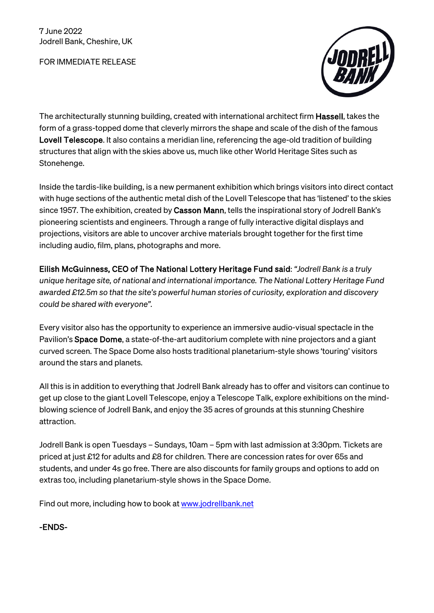FOR IMMEDIATE RELEASE



The architecturally stunning building, created with international architect firm Hassell, takes the form of a grass-topped dome that cleverly mirrors the shape and scale of the dish of the famous Lovell Telescope. It also contains a meridian line, referencing the age-old tradition of building structures that align with the skies above us, much like other World Heritage Sites such as Stonehenge.

Inside the tardis-like building, is a new permanent exhibition which brings visitors into direct contact with huge sections of the authentic metal dish of the Lovell Telescope that has 'listened' to the skies since 1957. The exhibition, created by Casson Mann, tells the inspirational story of Jodrell Bank's pioneering scientists and engineers. Through a range of fully interactive digital displays and projections, visitors are able to uncover archive materials brought together for the first time including audio, film, plans, photographs and more.

Eilish McGuinness, CEO of The National Lottery Heritage Fund said: *"Jodrell Bank is a truly unique heritage site, of national and international importance. The National Lottery Heritage Fund awarded £12.5m so that the site's powerful human stories of curiosity, exploration and discovery could be shared with everyone".*

Every visitor also has the opportunity to experience an immersive audio-visual spectacle in the Pavilion's Space Dome, a state-of-the-art auditorium complete with nine projectors and a giant curved screen. The Space Dome also hosts traditional planetarium-style shows 'touring' visitors around the stars and planets.

All this is in addition to everything that Jodrell Bank already has to offer and visitors can continue to get up close to the giant Lovell Telescope, enjoy a Telescope Talk, explore exhibitions on the mindblowing science of Jodrell Bank, and enjoy the 35 acres of grounds at this stunning Cheshire attraction.

Jodrell Bank is open Tuesdays – Sundays, 10am – 5pm with last admission at 3:30pm. Tickets are priced at just £12 for adults and £8 for children. There are concession rates for over 65s and students, and under 4s go free. There are also discounts for family groups and options to add on extras too, including planetarium-style shows in the Space Dome.

Find out more, including how to book a[t www.jodrellbank.net](http://www.jodrellbank.net/) 

-ENDS-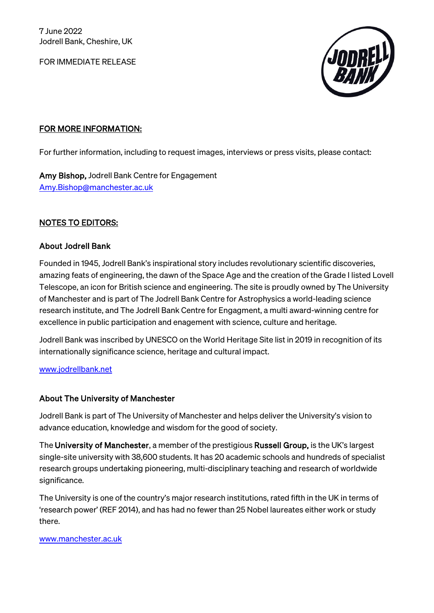FOR IMMEDIATE RELEASE



## FOR MORE INFORMATION:

For further information, including to request images, interviews or press visits, please contact:

Amy Bishop, Jodrell Bank Centre for Engagement [Amy.Bishop@manchester.ac.uk](mailto:Amy.Bishop@manchester.ac.uk) 

## NOTES TO EDITORS:

### About Jodrell Bank

Founded in 1945, Jodrell Bank's inspirational story includes revolutionary scientific discoveries, amazing feats of engineering, the dawn of the Space Age and the creation of the Grade I listed Lovell Telescope, an icon for British science and engineering. The site is proudly owned by The University of Manchester and is part of The Jodrell Bank Centre for Astrophysics a world-leading science research institute, and The Jodrell Bank Centre for Engagment, a multi award-winning centre for excellence in public participation and enagement with science, culture and heritage.

Jodrell Bank was inscribed by UNESCO on the World Heritage Site list in 2019 in recognition of its internationally significance science, heritage and cultural impact.

[www.jodrellbank.net](http://www.jodrellbank.net/)

## About The University of Manchester

Jodrell Bank is part of The University of Manchester and helps deliver the University's vision to advance education, knowledge and wisdom for the good of society.

The University of Manchester, a member of the prestigious Russell Group, is the UK's largest single-site university with 38,600 students. It has 20 academic schools and hundreds of specialist research groups undertaking pioneering, multi-disciplinary teaching and research of worldwide significance.

The University is one of the country's major research institutions, rated fifth in the UK in terms of 'research power' (REF 2014), and has had no fewer than 25 Nobel laureates either work or study there.

#### [www.manchester.ac.uk](http://www.manchester.ac.uk/)